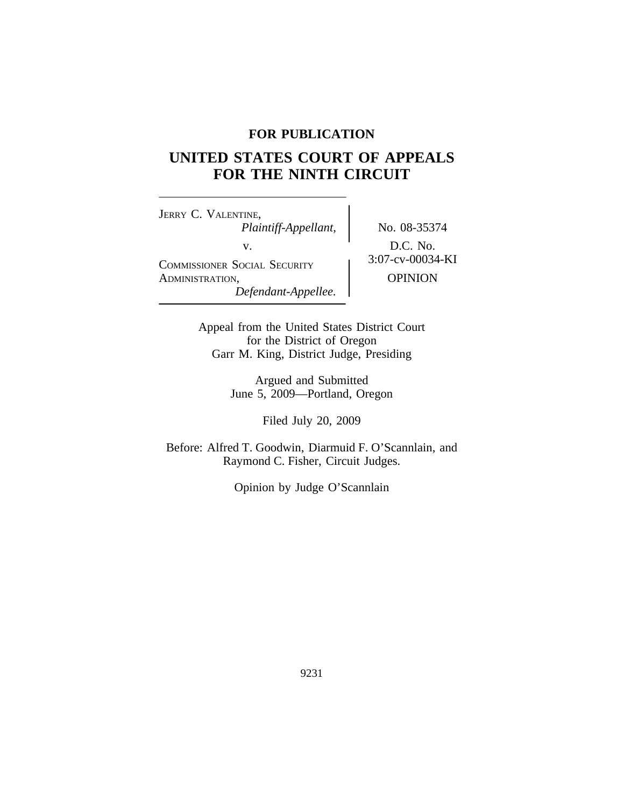# **FOR PUBLICATION**

# **UNITED STATES COURT OF APPEALS FOR THE NINTH CIRCUIT**

<sup>J</sup>ERRY C. VALENTINE, *Plaintiff-Appellant,* No. 08-35374 v.<br>
COMMISSIONER SOCIAL SECURITY 3:07-cv-00034-KI ADMINISTRATION, OPINION *Defendant-Appellee.*

Appeal from the United States District Court for the District of Oregon Garr M. King, District Judge, Presiding

> Argued and Submitted June 5, 2009—Portland, Oregon

> > Filed July 20, 2009

Before: Alfred T. Goodwin, Diarmuid F. O'Scannlain, and Raymond C. Fisher, Circuit Judges.

Opinion by Judge O'Scannlain

9231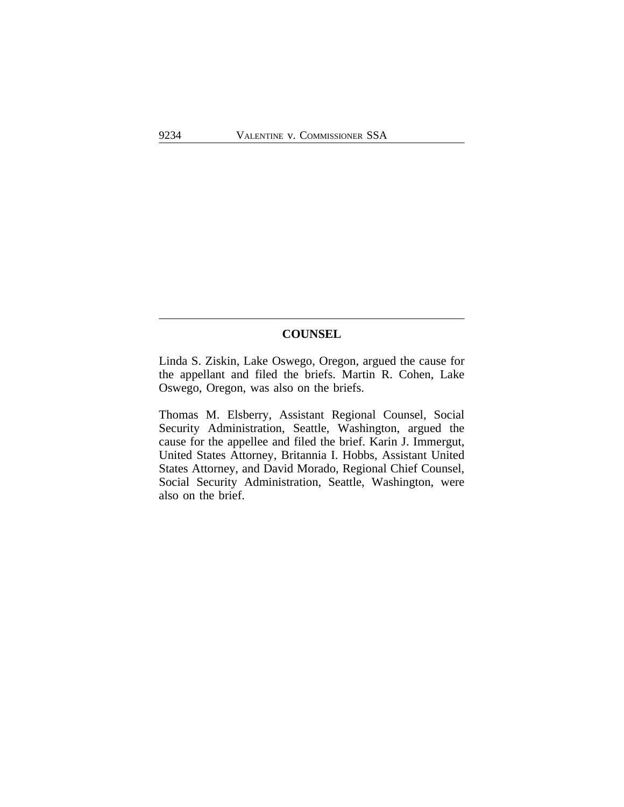### **COUNSEL**

Linda S. Ziskin, Lake Oswego, Oregon, argued the cause for the appellant and filed the briefs. Martin R. Cohen, Lake Oswego, Oregon, was also on the briefs.

Thomas M. Elsberry, Assistant Regional Counsel, Social Security Administration, Seattle, Washington, argued the cause for the appellee and filed the brief. Karin J. Immergut, United States Attorney, Britannia I. Hobbs, Assistant United States Attorney, and David Morado, Regional Chief Counsel, Social Security Administration, Seattle, Washington, were also on the brief.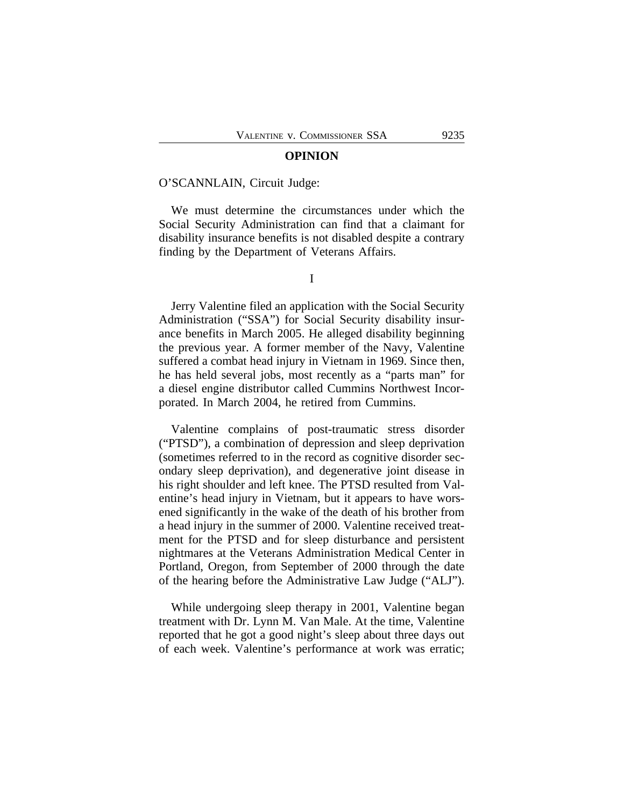#### **OPINION**

#### O'SCANNLAIN, Circuit Judge:

We must determine the circumstances under which the Social Security Administration can find that a claimant for disability insurance benefits is not disabled despite a contrary finding by the Department of Veterans Affairs.

I

Jerry Valentine filed an application with the Social Security Administration ("SSA") for Social Security disability insurance benefits in March 2005. He alleged disability beginning the previous year. A former member of the Navy, Valentine suffered a combat head injury in Vietnam in 1969. Since then, he has held several jobs, most recently as a "parts man" for a diesel engine distributor called Cummins Northwest Incorporated. In March 2004, he retired from Cummins.

Valentine complains of post-traumatic stress disorder ("PTSD"), a combination of depression and sleep deprivation (sometimes referred to in the record as cognitive disorder secondary sleep deprivation), and degenerative joint disease in his right shoulder and left knee. The PTSD resulted from Valentine's head injury in Vietnam, but it appears to have worsened significantly in the wake of the death of his brother from a head injury in the summer of 2000. Valentine received treatment for the PTSD and for sleep disturbance and persistent nightmares at the Veterans Administration Medical Center in Portland, Oregon, from September of 2000 through the date of the hearing before the Administrative Law Judge ("ALJ").

While undergoing sleep therapy in 2001, Valentine began treatment with Dr. Lynn M. Van Male. At the time, Valentine reported that he got a good night's sleep about three days out of each week. Valentine's performance at work was erratic;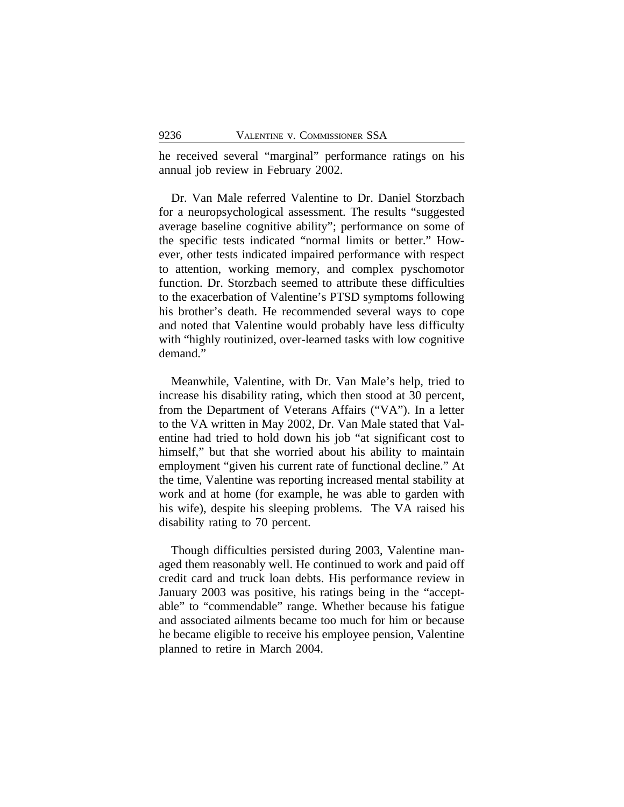he received several "marginal" performance ratings on his annual job review in February 2002.

Dr. Van Male referred Valentine to Dr. Daniel Storzbach for a neuropsychological assessment. The results "suggested average baseline cognitive ability"; performance on some of the specific tests indicated "normal limits or better." However, other tests indicated impaired performance with respect to attention, working memory, and complex pyschomotor function. Dr. Storzbach seemed to attribute these difficulties to the exacerbation of Valentine's PTSD symptoms following his brother's death. He recommended several ways to cope and noted that Valentine would probably have less difficulty with "highly routinized, over-learned tasks with low cognitive demand."

Meanwhile, Valentine, with Dr. Van Male's help, tried to increase his disability rating, which then stood at 30 percent, from the Department of Veterans Affairs ("VA"). In a letter to the VA written in May 2002, Dr. Van Male stated that Valentine had tried to hold down his job "at significant cost to himself," but that she worried about his ability to maintain employment "given his current rate of functional decline." At the time, Valentine was reporting increased mental stability at work and at home (for example, he was able to garden with his wife), despite his sleeping problems. The VA raised his disability rating to 70 percent.

Though difficulties persisted during 2003, Valentine managed them reasonably well. He continued to work and paid off credit card and truck loan debts. His performance review in January 2003 was positive, his ratings being in the "acceptable" to "commendable" range. Whether because his fatigue and associated ailments became too much for him or because he became eligible to receive his employee pension, Valentine planned to retire in March 2004.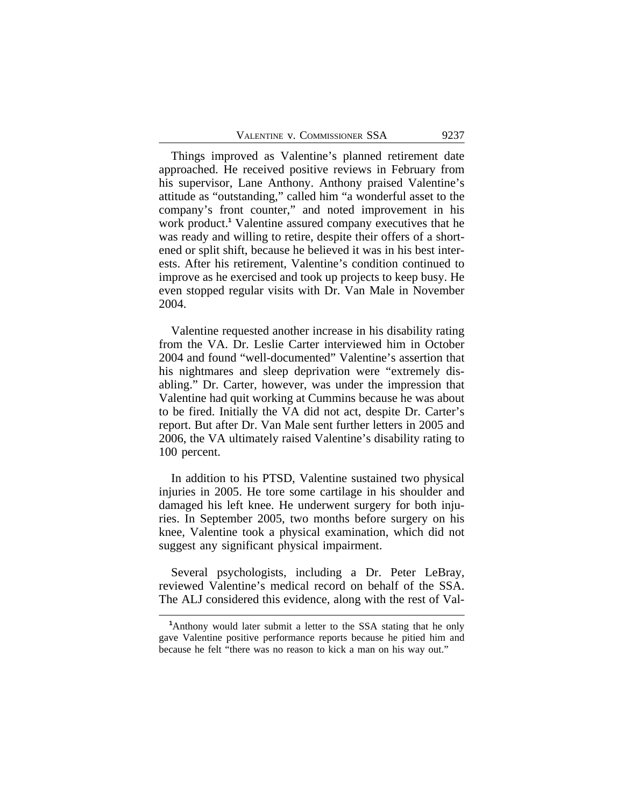Things improved as Valentine's planned retirement date approached. He received positive reviews in February from his supervisor, Lane Anthony. Anthony praised Valentine's attitude as "outstanding," called him "a wonderful asset to the company's front counter," and noted improvement in his work product.**<sup>1</sup>** Valentine assured company executives that he was ready and willing to retire, despite their offers of a shortened or split shift, because he believed it was in his best interests. After his retirement, Valentine's condition continued to improve as he exercised and took up projects to keep busy. He even stopped regular visits with Dr. Van Male in November 2004.

Valentine requested another increase in his disability rating from the VA. Dr. Leslie Carter interviewed him in October 2004 and found "well-documented" Valentine's assertion that his nightmares and sleep deprivation were "extremely disabling." Dr. Carter, however, was under the impression that Valentine had quit working at Cummins because he was about to be fired. Initially the VA did not act, despite Dr. Carter's report. But after Dr. Van Male sent further letters in 2005 and 2006, the VA ultimately raised Valentine's disability rating to 100 percent.

In addition to his PTSD, Valentine sustained two physical injuries in 2005. He tore some cartilage in his shoulder and damaged his left knee. He underwent surgery for both injuries. In September 2005, two months before surgery on his knee, Valentine took a physical examination, which did not suggest any significant physical impairment.

Several psychologists, including a Dr. Peter LeBray, reviewed Valentine's medical record on behalf of the SSA. The ALJ considered this evidence, along with the rest of Val-

**<sup>1</sup>**Anthony would later submit a letter to the SSA stating that he only gave Valentine positive performance reports because he pitied him and because he felt "there was no reason to kick a man on his way out."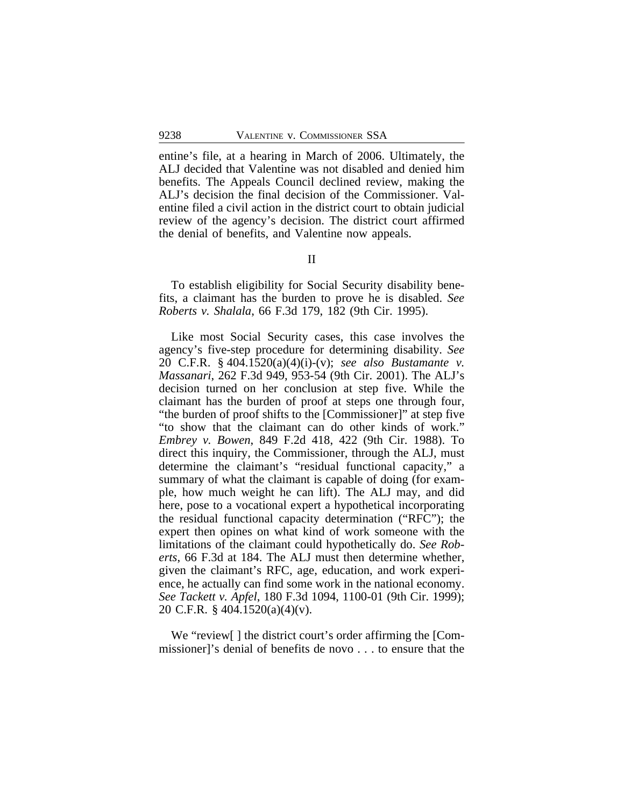entine's file, at a hearing in March of 2006. Ultimately, the ALJ decided that Valentine was not disabled and denied him benefits. The Appeals Council declined review, making the ALJ's decision the final decision of the Commissioner. Valentine filed a civil action in the district court to obtain judicial review of the agency's decision. The district court affirmed the denial of benefits, and Valentine now appeals.

### II

To establish eligibility for Social Security disability benefits, a claimant has the burden to prove he is disabled. *See Roberts v. Shalala*, 66 F.3d 179, 182 (9th Cir. 1995).

Like most Social Security cases, this case involves the agency's five-step procedure for determining disability. *See* 20 C.F.R. § 404.1520(a)(4)(i)-(v); *see also Bustamante v. Massanari*, 262 F.3d 949, 953-54 (9th Cir. 2001). The ALJ's decision turned on her conclusion at step five. While the claimant has the burden of proof at steps one through four, "the burden of proof shifts to the [Commissioner]" at step five "to show that the claimant can do other kinds of work." *Embrey v. Bowen*, 849 F.2d 418, 422 (9th Cir. 1988). To direct this inquiry, the Commissioner, through the ALJ, must determine the claimant's "residual functional capacity," a summary of what the claimant is capable of doing (for example, how much weight he can lift). The ALJ may, and did here, pose to a vocational expert a hypothetical incorporating the residual functional capacity determination ("RFC"); the expert then opines on what kind of work someone with the limitations of the claimant could hypothetically do. *See Roberts*, 66 F.3d at 184. The ALJ must then determine whether, given the claimant's RFC, age, education, and work experience, he actually can find some work in the national economy. *See Tackett v. Apfel*, 180 F.3d 1094, 1100-01 (9th Cir. 1999); 20 C.F.R. § 404.1520(a)(4)(v).

We "review[ ] the district court's order affirming the [Commissioner]'s denial of benefits de novo . . . to ensure that the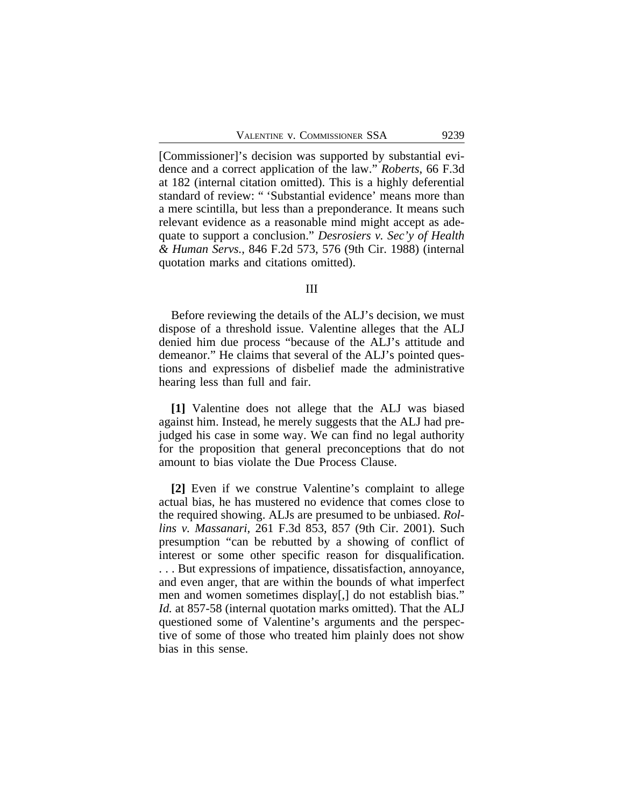[Commissioner]'s decision was supported by substantial evidence and a correct application of the law." *Roberts*, 66 F.3d at 182 (internal citation omitted). This is a highly deferential standard of review: " 'Substantial evidence' means more than a mere scintilla, but less than a preponderance. It means such relevant evidence as a reasonable mind might accept as adequate to support a conclusion." *Desrosiers v. Sec'y of Health & Human Servs.*, 846 F.2d 573, 576 (9th Cir. 1988) (internal quotation marks and citations omitted).

#### III

Before reviewing the details of the ALJ's decision, we must dispose of a threshold issue. Valentine alleges that the ALJ denied him due process "because of the ALJ's attitude and demeanor." He claims that several of the ALJ's pointed questions and expressions of disbelief made the administrative hearing less than full and fair.

**[1]** Valentine does not allege that the ALJ was biased against him. Instead, he merely suggests that the ALJ had prejudged his case in some way. We can find no legal authority for the proposition that general preconceptions that do not amount to bias violate the Due Process Clause.

**[2]** Even if we construe Valentine's complaint to allege actual bias, he has mustered no evidence that comes close to the required showing. ALJs are presumed to be unbiased. *Rollins v. Massanari*, 261 F.3d 853, 857 (9th Cir. 2001). Such presumption "can be rebutted by a showing of conflict of interest or some other specific reason for disqualification. . . . But expressions of impatience, dissatisfaction, annoyance, and even anger, that are within the bounds of what imperfect men and women sometimes display[,] do not establish bias." *Id.* at 857-58 (internal quotation marks omitted). That the ALJ questioned some of Valentine's arguments and the perspective of some of those who treated him plainly does not show bias in this sense.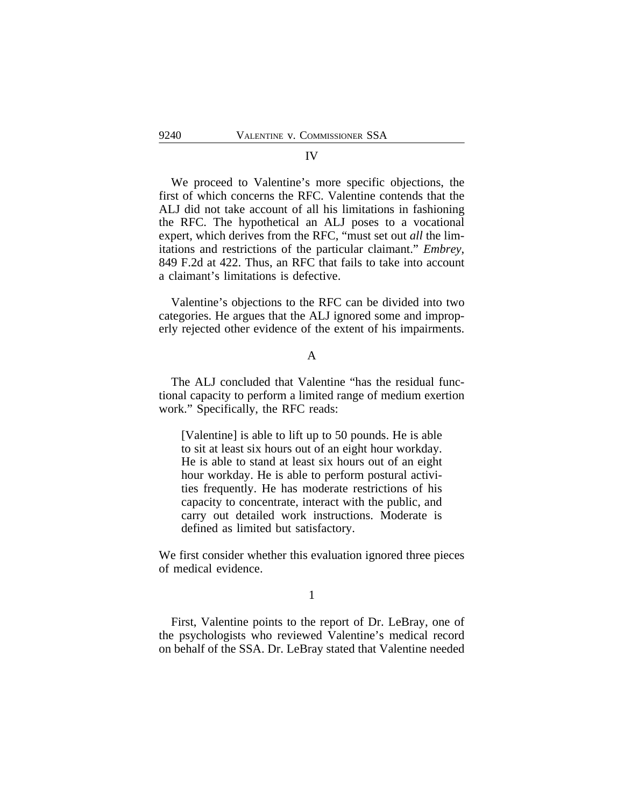#### IV

We proceed to Valentine's more specific objections, the first of which concerns the RFC. Valentine contends that the ALJ did not take account of all his limitations in fashioning the RFC. The hypothetical an ALJ poses to a vocational expert, which derives from the RFC, "must set out *all* the limitations and restrictions of the particular claimant." *Embrey*, 849 F.2d at 422. Thus, an RFC that fails to take into account a claimant's limitations is defective.

Valentine's objections to the RFC can be divided into two categories. He argues that the ALJ ignored some and improperly rejected other evidence of the extent of his impairments.

### A

The ALJ concluded that Valentine "has the residual functional capacity to perform a limited range of medium exertion work." Specifically, the RFC reads:

[Valentine] is able to lift up to 50 pounds. He is able to sit at least six hours out of an eight hour workday. He is able to stand at least six hours out of an eight hour workday. He is able to perform postural activities frequently. He has moderate restrictions of his capacity to concentrate, interact with the public, and carry out detailed work instructions. Moderate is defined as limited but satisfactory.

We first consider whether this evaluation ignored three pieces of medical evidence.

#### 1

First, Valentine points to the report of Dr. LeBray, one of the psychologists who reviewed Valentine's medical record on behalf of the SSA. Dr. LeBray stated that Valentine needed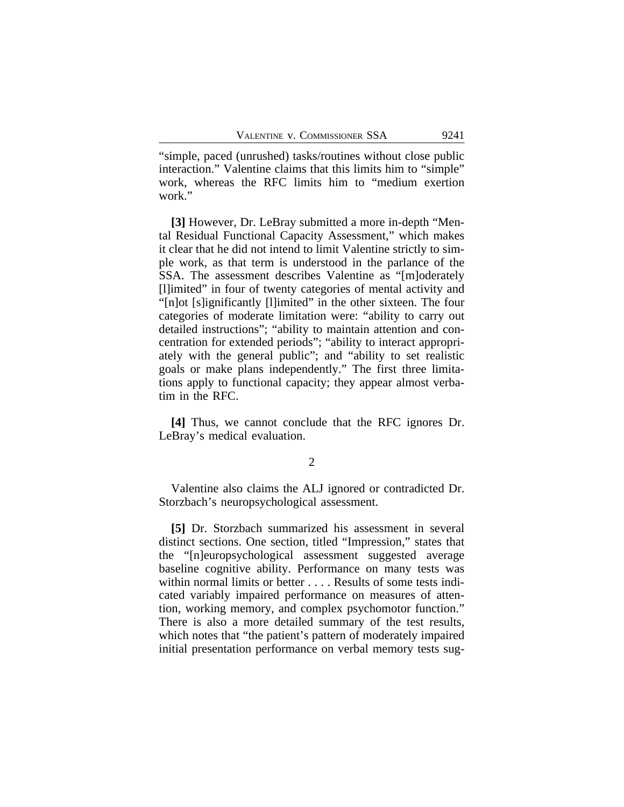"simple, paced (unrushed) tasks/routines without close public interaction." Valentine claims that this limits him to "simple" work, whereas the RFC limits him to "medium exertion work."

**[3]** However, Dr. LeBray submitted a more in-depth "Mental Residual Functional Capacity Assessment," which makes it clear that he did not intend to limit Valentine strictly to simple work, as that term is understood in the parlance of the SSA. The assessment describes Valentine as "[m]oderately [l]imited" in four of twenty categories of mental activity and "[n]ot [s]ignificantly [l]imited" in the other sixteen. The four categories of moderate limitation were: "ability to carry out detailed instructions"; "ability to maintain attention and concentration for extended periods"; "ability to interact appropriately with the general public"; and "ability to set realistic goals or make plans independently." The first three limitations apply to functional capacity; they appear almost verbatim in the RFC.

**[4]** Thus, we cannot conclude that the RFC ignores Dr. LeBray's medical evaluation.

#### 2

Valentine also claims the ALJ ignored or contradicted Dr. Storzbach's neuropsychological assessment.

**[5]** Dr. Storzbach summarized his assessment in several distinct sections. One section, titled "Impression," states that the "[n]europsychological assessment suggested average baseline cognitive ability. Performance on many tests was within normal limits or better . . . . Results of some tests indicated variably impaired performance on measures of attention, working memory, and complex psychomotor function." There is also a more detailed summary of the test results, which notes that "the patient's pattern of moderately impaired initial presentation performance on verbal memory tests sug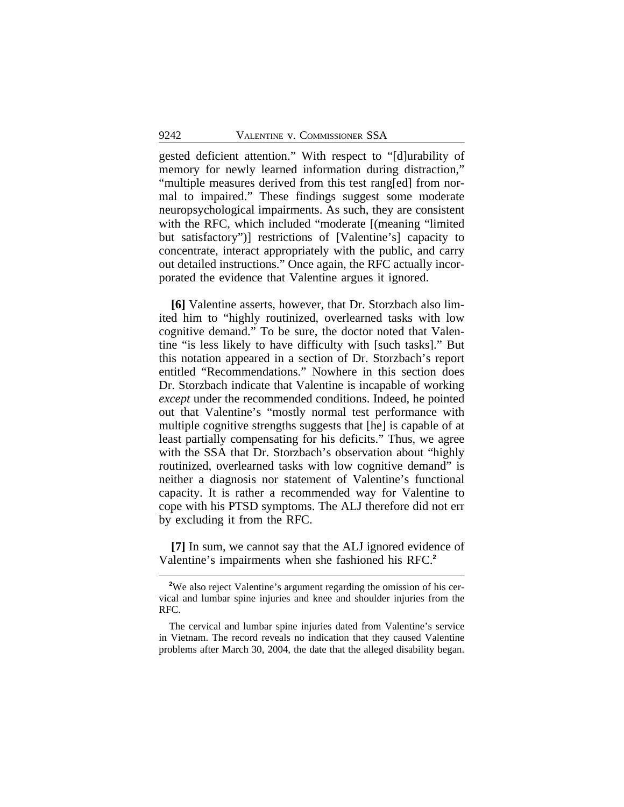gested deficient attention." With respect to "[d]urability of memory for newly learned information during distraction," "multiple measures derived from this test rang[ed] from normal to impaired." These findings suggest some moderate neuropsychological impairments. As such, they are consistent with the RFC, which included "moderate [(meaning "limited but satisfactory")] restrictions of [Valentine's] capacity to concentrate, interact appropriately with the public, and carry out detailed instructions." Once again, the RFC actually incorporated the evidence that Valentine argues it ignored.

**[6]** Valentine asserts, however, that Dr. Storzbach also limited him to "highly routinized, overlearned tasks with low cognitive demand." To be sure, the doctor noted that Valentine "is less likely to have difficulty with [such tasks]." But this notation appeared in a section of Dr. Storzbach's report entitled "Recommendations." Nowhere in this section does Dr. Storzbach indicate that Valentine is incapable of working *except* under the recommended conditions. Indeed, he pointed out that Valentine's "mostly normal test performance with multiple cognitive strengths suggests that [he] is capable of at least partially compensating for his deficits." Thus, we agree with the SSA that Dr. Storzbach's observation about "highly routinized, overlearned tasks with low cognitive demand" is neither a diagnosis nor statement of Valentine's functional capacity. It is rather a recommended way for Valentine to cope with his PTSD symptoms. The ALJ therefore did not err by excluding it from the RFC.

**[7]** In sum, we cannot say that the ALJ ignored evidence of Valentine's impairments when she fashioned his RFC.**<sup>2</sup>**

<sup>&</sup>lt;sup>2</sup>We also reject Valentine's argument regarding the omission of his cervical and lumbar spine injuries and knee and shoulder injuries from the RFC.

The cervical and lumbar spine injuries dated from Valentine's service in Vietnam. The record reveals no indication that they caused Valentine problems after March 30, 2004, the date that the alleged disability began.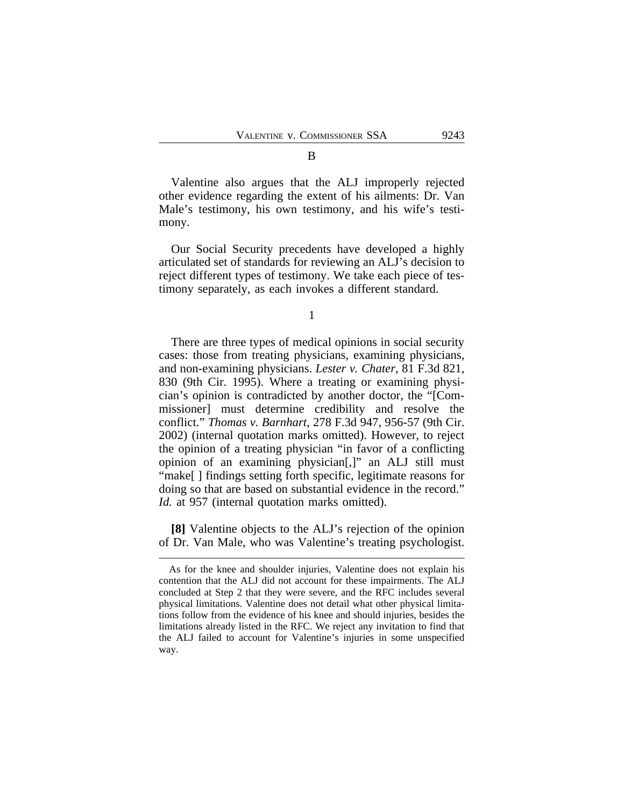Valentine also argues that the ALJ improperly rejected other evidence regarding the extent of his ailments: Dr. Van Male's testimony, his own testimony, and his wife's testimony.

Our Social Security precedents have developed a highly articulated set of standards for reviewing an ALJ's decision to reject different types of testimony. We take each piece of testimony separately, as each invokes a different standard.

1

There are three types of medical opinions in social security cases: those from treating physicians, examining physicians, and non-examining physicians. *Lester v. Chater*, 81 F.3d 821, 830 (9th Cir. 1995). Where a treating or examining physician's opinion is contradicted by another doctor, the "[Commissioner] must determine credibility and resolve the conflict." *Thomas v. Barnhart*, 278 F.3d 947, 956-57 (9th Cir. 2002) (internal quotation marks omitted). However, to reject the opinion of a treating physician "in favor of a conflicting opinion of an examining physician[,]" an ALJ still must "make[ ] findings setting forth specific, legitimate reasons for doing so that are based on substantial evidence in the record." *Id.* at 957 (internal quotation marks omitted).

**[8]** Valentine objects to the ALJ's rejection of the opinion of Dr. Van Male, who was Valentine's treating psychologist.

As for the knee and shoulder injuries, Valentine does not explain his contention that the ALJ did not account for these impairments. The ALJ concluded at Step 2 that they were severe, and the RFC includes several physical limitations. Valentine does not detail what other physical limitations follow from the evidence of his knee and should injuries, besides the limitations already listed in the RFC. We reject any invitation to find that the ALJ failed to account for Valentine's injuries in some unspecified way.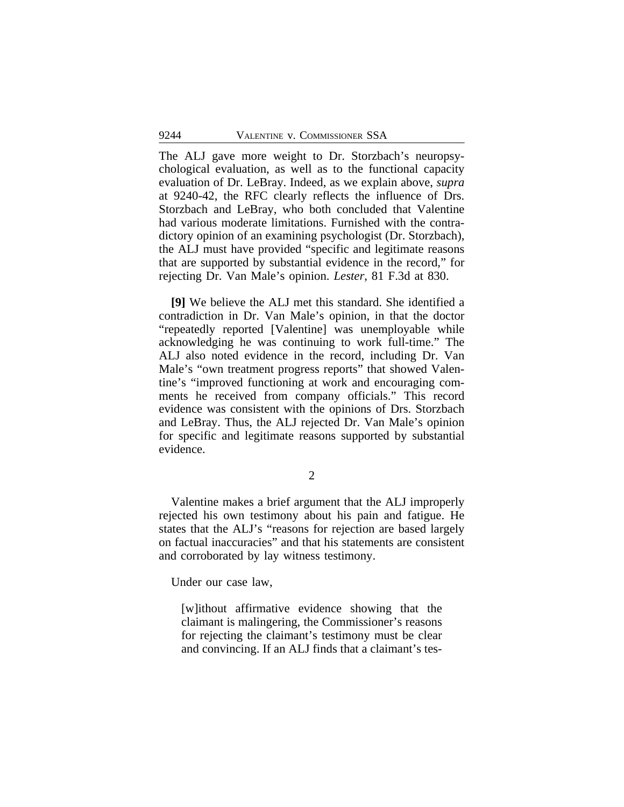The ALJ gave more weight to Dr. Storzbach's neuropsychological evaluation, as well as to the functional capacity evaluation of Dr. LeBray. Indeed, as we explain above, *supra* at 9240-42, the RFC clearly reflects the influence of Drs. Storzbach and LeBray, who both concluded that Valentine had various moderate limitations. Furnished with the contradictory opinion of an examining psychologist (Dr. Storzbach), the ALJ must have provided "specific and legitimate reasons that are supported by substantial evidence in the record," for rejecting Dr. Van Male's opinion. *Lester*, 81 F.3d at 830.

**[9]** We believe the ALJ met this standard. She identified a contradiction in Dr. Van Male's opinion, in that the doctor "repeatedly reported [Valentine] was unemployable while acknowledging he was continuing to work full-time." The ALJ also noted evidence in the record, including Dr. Van Male's "own treatment progress reports" that showed Valentine's "improved functioning at work and encouraging comments he received from company officials." This record evidence was consistent with the opinions of Drs. Storzbach and LeBray. Thus, the ALJ rejected Dr. Van Male's opinion for specific and legitimate reasons supported by substantial evidence.

2

Valentine makes a brief argument that the ALJ improperly rejected his own testimony about his pain and fatigue. He states that the ALJ's "reasons for rejection are based largely on factual inaccuracies" and that his statements are consistent and corroborated by lay witness testimony.

Under our case law,

[w]ithout affirmative evidence showing that the claimant is malingering, the Commissioner's reasons for rejecting the claimant's testimony must be clear and convincing. If an ALJ finds that a claimant's tes-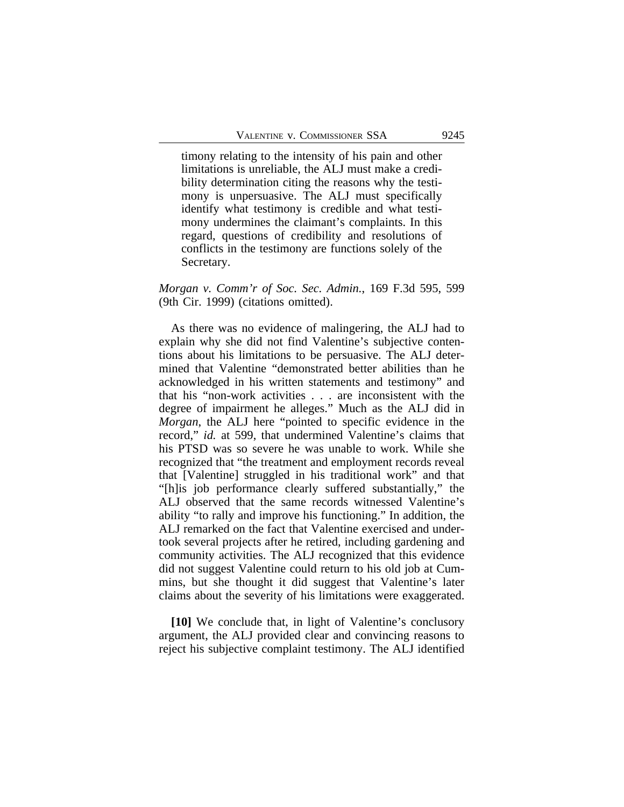timony relating to the intensity of his pain and other limitations is unreliable, the ALJ must make a credibility determination citing the reasons why the testimony is unpersuasive. The ALJ must specifically identify what testimony is credible and what testimony undermines the claimant's complaints. In this regard, questions of credibility and resolutions of conflicts in the testimony are functions solely of the Secretary.

# *Morgan v. Comm'r of Soc. Sec. Admin.*, 169 F.3d 595, 599 (9th Cir. 1999) (citations omitted).

As there was no evidence of malingering, the ALJ had to explain why she did not find Valentine's subjective contentions about his limitations to be persuasive. The ALJ determined that Valentine "demonstrated better abilities than he acknowledged in his written statements and testimony" and that his "non-work activities . . . are inconsistent with the degree of impairment he alleges." Much as the ALJ did in *Morgan*, the ALJ here "pointed to specific evidence in the record," *id.* at 599, that undermined Valentine's claims that his PTSD was so severe he was unable to work. While she recognized that "the treatment and employment records reveal that [Valentine] struggled in his traditional work" and that "[h]is job performance clearly suffered substantially," the ALJ observed that the same records witnessed Valentine's ability "to rally and improve his functioning." In addition, the ALJ remarked on the fact that Valentine exercised and undertook several projects after he retired, including gardening and community activities. The ALJ recognized that this evidence did not suggest Valentine could return to his old job at Cummins, but she thought it did suggest that Valentine's later claims about the severity of his limitations were exaggerated.

**[10]** We conclude that, in light of Valentine's conclusory argument, the ALJ provided clear and convincing reasons to reject his subjective complaint testimony. The ALJ identified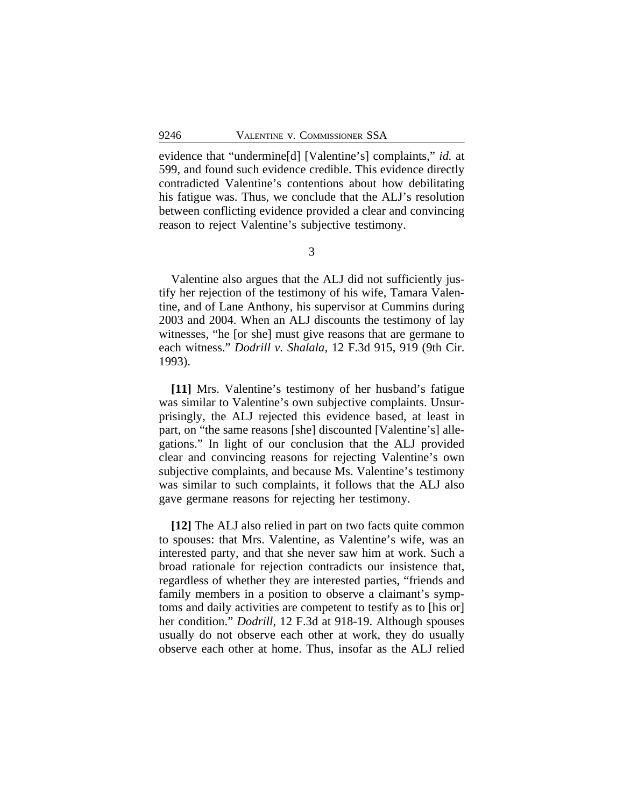evidence that "undermine[d] [Valentine's] complaints," *id.* at 599, and found such evidence credible. This evidence directly contradicted Valentine's contentions about how debilitating his fatigue was. Thus, we conclude that the ALJ's resolution between conflicting evidence provided a clear and convincing reason to reject Valentine's subjective testimony.

3

Valentine also argues that the ALJ did not sufficiently justify her rejection of the testimony of his wife, Tamara Valentine, and of Lane Anthony, his supervisor at Cummins during 2003 and 2004. When an ALJ discounts the testimony of lay witnesses, "he [or she] must give reasons that are germane to each witness." *Dodrill v. Shalala*, 12 F.3d 915, 919 (9th Cir. 1993).

**[11]** Mrs. Valentine's testimony of her husband's fatigue was similar to Valentine's own subjective complaints. Unsurprisingly, the ALJ rejected this evidence based, at least in part, on "the same reasons [she] discounted [Valentine's] allegations." In light of our conclusion that the ALJ provided clear and convincing reasons for rejecting Valentine's own subjective complaints, and because Ms. Valentine's testimony was similar to such complaints, it follows that the ALJ also gave germane reasons for rejecting her testimony.

**[12]** The ALJ also relied in part on two facts quite common to spouses: that Mrs. Valentine, as Valentine's wife, was an interested party, and that she never saw him at work. Such a broad rationale for rejection contradicts our insistence that, regardless of whether they are interested parties, "friends and family members in a position to observe a claimant's symptoms and daily activities are competent to testify as to [his or] her condition." *Dodrill*, 12 F.3d at 918-19. Although spouses usually do not observe each other at work, they do usually observe each other at home. Thus, insofar as the ALJ relied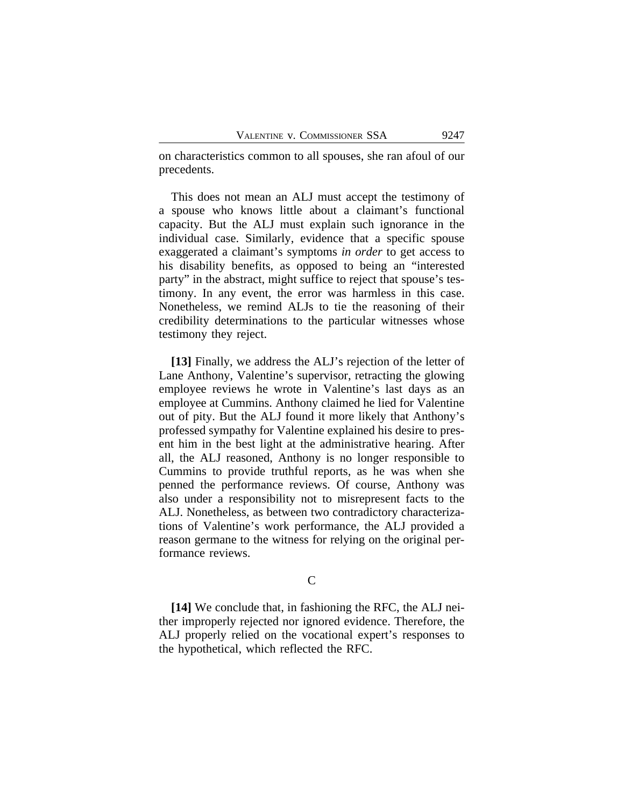on characteristics common to all spouses, she ran afoul of our precedents.

This does not mean an ALJ must accept the testimony of a spouse who knows little about a claimant's functional capacity. But the ALJ must explain such ignorance in the individual case. Similarly, evidence that a specific spouse exaggerated a claimant's symptoms *in order* to get access to his disability benefits, as opposed to being an "interested party" in the abstract, might suffice to reject that spouse's testimony. In any event, the error was harmless in this case. Nonetheless, we remind ALJs to tie the reasoning of their credibility determinations to the particular witnesses whose testimony they reject.

**[13]** Finally, we address the ALJ's rejection of the letter of Lane Anthony, Valentine's supervisor, retracting the glowing employee reviews he wrote in Valentine's last days as an employee at Cummins. Anthony claimed he lied for Valentine out of pity. But the ALJ found it more likely that Anthony's professed sympathy for Valentine explained his desire to present him in the best light at the administrative hearing. After all, the ALJ reasoned, Anthony is no longer responsible to Cummins to provide truthful reports, as he was when she penned the performance reviews. Of course, Anthony was also under a responsibility not to misrepresent facts to the ALJ. Nonetheless, as between two contradictory characterizations of Valentine's work performance, the ALJ provided a reason germane to the witness for relying on the original performance reviews.

# $\overline{C}$

**[14]** We conclude that, in fashioning the RFC, the ALJ neither improperly rejected nor ignored evidence. Therefore, the ALJ properly relied on the vocational expert's responses to the hypothetical, which reflected the RFC.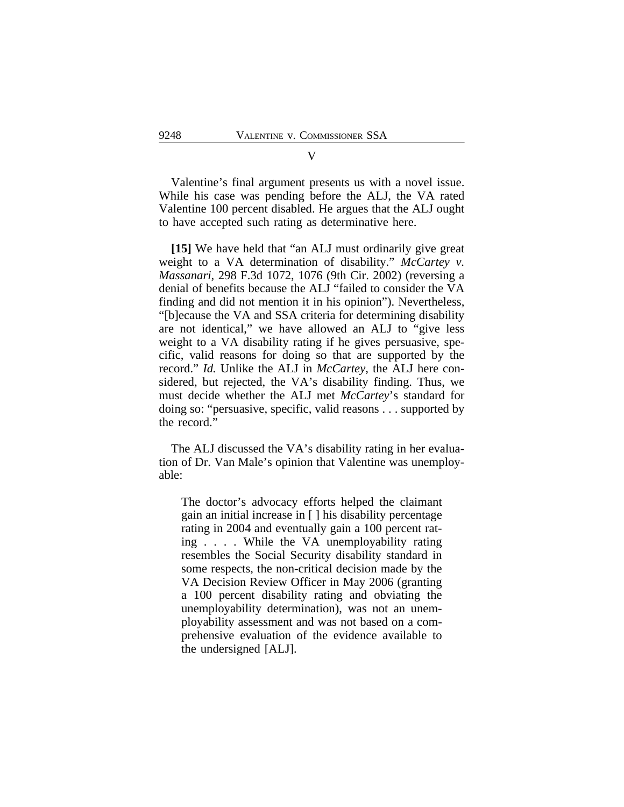Valentine's final argument presents us with a novel issue. While his case was pending before the ALJ, the VA rated Valentine 100 percent disabled. He argues that the ALJ ought to have accepted such rating as determinative here.

**[15]** We have held that "an ALJ must ordinarily give great weight to a VA determination of disability." *McCartey v. Massanari*, 298 F.3d 1072, 1076 (9th Cir. 2002) (reversing a denial of benefits because the ALJ "failed to consider the VA finding and did not mention it in his opinion"). Nevertheless, "[b]ecause the VA and SSA criteria for determining disability are not identical," we have allowed an ALJ to "give less weight to a VA disability rating if he gives persuasive, specific, valid reasons for doing so that are supported by the record." *Id.* Unlike the ALJ in *McCartey*, the ALJ here considered, but rejected, the VA's disability finding. Thus, we must decide whether the ALJ met *McCartey*'s standard for doing so: "persuasive, specific, valid reasons . . . supported by the record."

The ALJ discussed the VA's disability rating in her evaluation of Dr. Van Male's opinion that Valentine was unemployable:

The doctor's advocacy efforts helped the claimant gain an initial increase in [ ] his disability percentage rating in 2004 and eventually gain a 100 percent rating . . . . While the VA unemployability rating resembles the Social Security disability standard in some respects, the non-critical decision made by the VA Decision Review Officer in May 2006 (granting a 100 percent disability rating and obviating the unemployability determination), was not an unemployability assessment and was not based on a comprehensive evaluation of the evidence available to the undersigned [ALJ].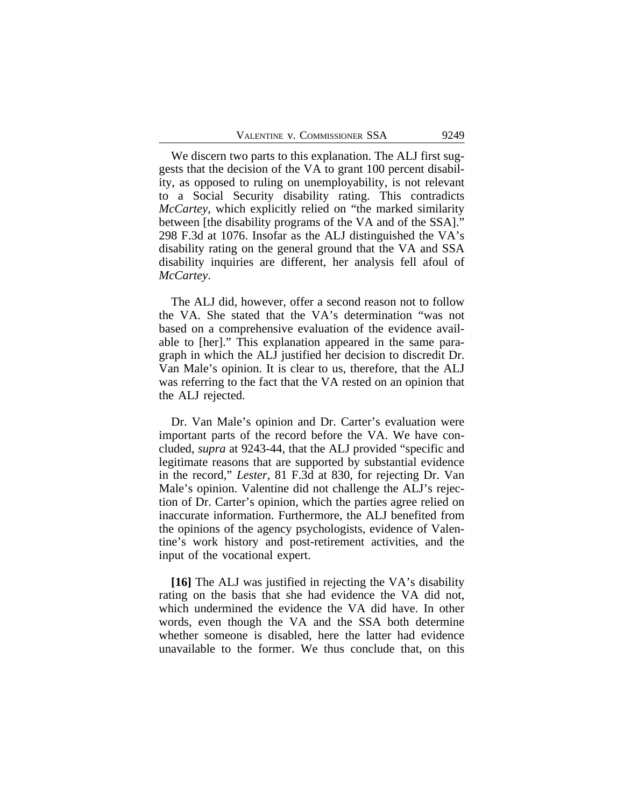We discern two parts to this explanation. The ALJ first suggests that the decision of the VA to grant 100 percent disability, as opposed to ruling on unemployability, is not relevant to a Social Security disability rating. This contradicts *McCartey*, which explicitly relied on "the marked similarity between [the disability programs of the VA and of the SSA]." 298 F.3d at 1076. Insofar as the ALJ distinguished the VA's disability rating on the general ground that the VA and SSA disability inquiries are different, her analysis fell afoul of *McCartey*.

The ALJ did, however, offer a second reason not to follow the VA. She stated that the VA's determination "was not based on a comprehensive evaluation of the evidence available to [her]." This explanation appeared in the same paragraph in which the ALJ justified her decision to discredit Dr. Van Male's opinion. It is clear to us, therefore, that the ALJ was referring to the fact that the VA rested on an opinion that the ALJ rejected.

Dr. Van Male's opinion and Dr. Carter's evaluation were important parts of the record before the VA. We have concluded, *supra* at 9243-44, that the ALJ provided "specific and legitimate reasons that are supported by substantial evidence in the record," *Lester*, 81 F.3d at 830, for rejecting Dr. Van Male's opinion. Valentine did not challenge the ALJ's rejection of Dr. Carter's opinion, which the parties agree relied on inaccurate information. Furthermore, the ALJ benefited from the opinions of the agency psychologists, evidence of Valentine's work history and post-retirement activities, and the input of the vocational expert.

**[16]** The ALJ was justified in rejecting the VA's disability rating on the basis that she had evidence the VA did not, which undermined the evidence the VA did have. In other words, even though the VA and the SSA both determine whether someone is disabled, here the latter had evidence unavailable to the former. We thus conclude that, on this